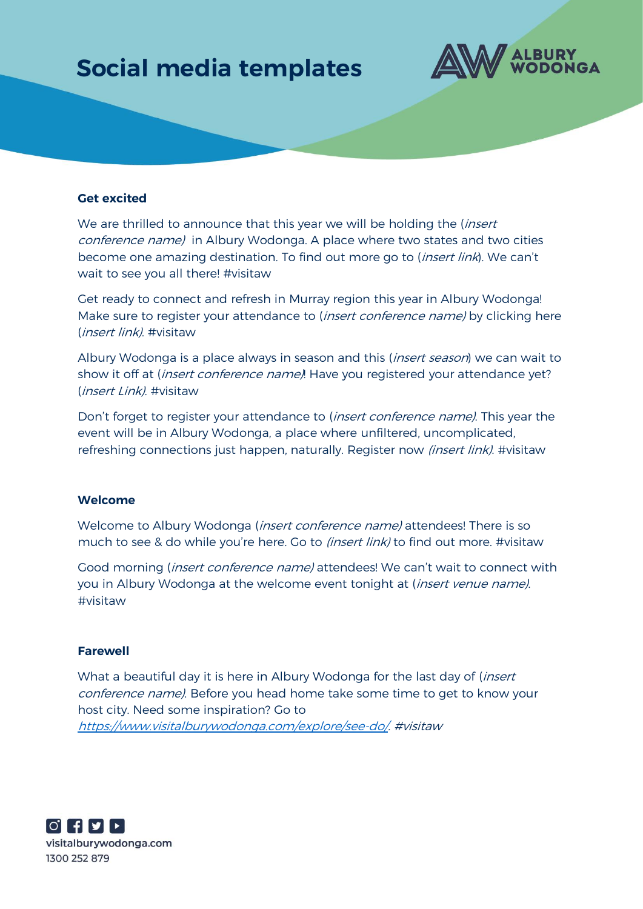## **Social media templates**



### **Get excited**

We are thrilled to announce that this year we will be holding the (*insert*) conference name) in Albury Wodonga. A place where two states and two cities become one amazing destination. To find out more go to (*insert link*). We can't wait to see you all there! #visitaw

Get ready to connect and refresh in Murray region this year in Albury Wodonga! Make sure to register your attendance to (*insert conference name*) by clicking here (insert link). #visitaw

Albury Wodonga is a place always in season and this (*insert season*) we can wait to show it off at (*insert conference name)*! Have you registered your attendance yet? (insert Link). #visitaw

Don't forget to register your attendance to (*insert conference name)*. This year the event will be in Albury Wodonga, a place where unfiltered, uncomplicated, refreshing connections just happen, naturally. Register now *(insert link)*. #visitaw

#### **Welcome**

Welcome to Albury Wodonga (*insert conference name)* attendees! There is so much to see & do while you're here. Go to (insert link) to find out more. #visitaw

Good morning (insert conference name) attendees! We can't wait to connect with you in Albury Wodonga at the welcome event tonight at *(insert venue name)*. #visitaw

#### **Farewell**

What a beautiful day it is here in Albury Wodonga for the last day of (*insert*) conference name). Before you head home take some time to get to know your host city. Need some inspiration? Go to [https://www.visitalburywodonga.com/explore/see-do/.](https://www.visitalburywodonga.com/explore/see-do/) #visitaw